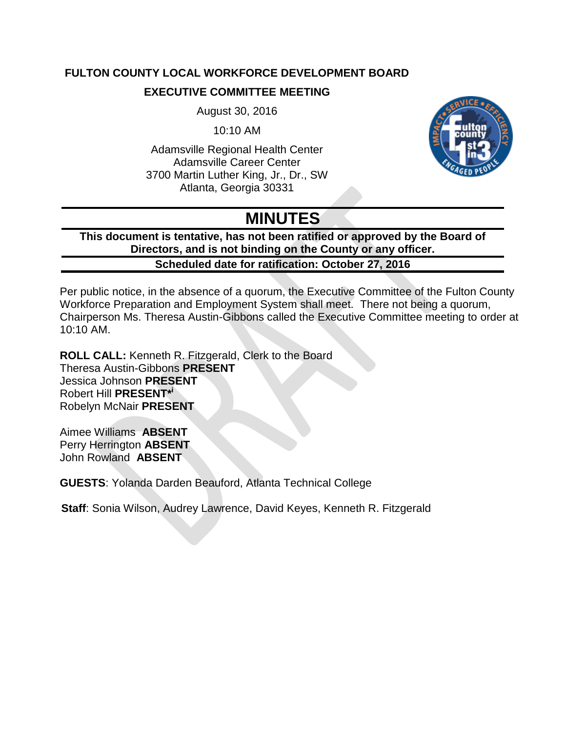# **FULTON COUNTY LOCAL WORKFORCE DEVELOPMENT BOARD**

## **EXECUTIVE COMMITTEE MEETING**

August 30, 2016

10:10 AM

Adamsville Regional Health Center Adamsville Career Center 3700 Martin Luther King, Jr., Dr., SW Atlanta, Georgia 30331



# **MINUTES**

**This document is tentative, has not been ratified or approved by the Board of Directors, and is not binding on the County or any officer. Scheduled date for ratification: October 27, 2016**

Per public notice, in the absence of a quorum, the Executive Committee of the Fulton County Workforce Preparation and Employment System shall meet. There not being a quorum, Chairperson Ms. Theresa Austin-Gibbons called the Executive Committee meeting to order at 10:10 AM.

**ROLL CALL:** Kenneth R. Fitzgerald, Clerk to the Board Theresa Austin-Gibbons **PRESENT** Jessica Johnson **PRESENT** Robert Hill **PRESENT\* i** Robelyn McNair **PRESENT**

Aimee Williams **ABSENT** Perry Herrington **ABSENT** John Rowland **ABSENT**

**GUESTS**: Yolanda Darden Beauford, Atlanta Technical College

**Staff**: Sonia Wilson, Audrey Lawrence, David Keyes, Kenneth R. Fitzgerald